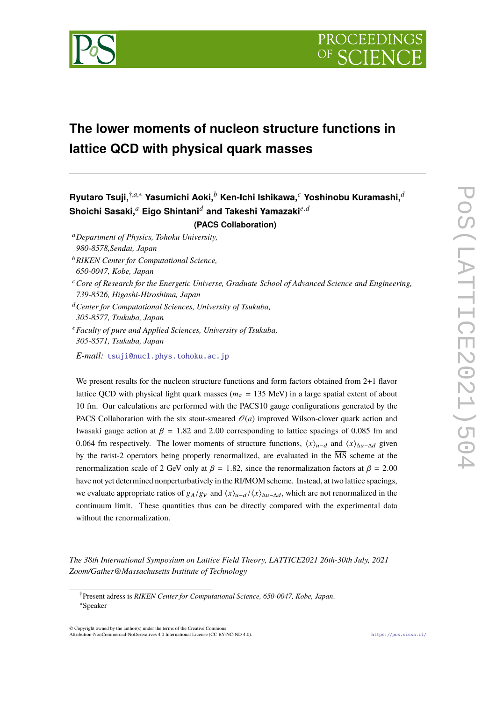

# **The lower moments of nucleon structure functions in lattice QCD with physical quark masses**

## **Ryutaro Tsuji,**†,*a*,<sup>∗</sup> **Yasumichi Aoki,***<sup>b</sup>* **Ken-Ichi Ishikawa,***<sup>c</sup>* **Yoshinobu Kuramashi,***<sup>d</sup>* **Shoichi Sasaki,***<sup>a</sup>* **Eigo Shintani***<sup>d</sup>* **and Takeshi Yamazaki***e*.*<sup>d</sup>* **(PACS Collaboration)**

- <sup>a</sup>*Department of Physics, Tohoku University, 980-8578,Sendai, Japan*
- <sup>b</sup>*RIKEN Center for Computational Science,*
- *650-0047, Kobe, Japan*
- <sup>c</sup>*Core of Research for the Energetic Universe, Graduate School of Advanced Science and Engineering, 739-8526, Higashi-Hiroshima, Japan*
- <sup>d</sup>*Center for Computational Sciences, University of Tsukuba,*
- *305-8577, Tsukuba, Japan*
- <sup>e</sup>*Faculty of pure and Applied Sciences, University of Tsukuba, 305-8571, Tsukuba, Japan*
- *E-mail:* tsuji@nucl.phys.tohoku.ac.jp

We present results for the nucleon structure functions and form factors obtained from 2+1 flavor lattice QCD with physical light quark masses ( $m<sub>\pi</sub>$  = 135 MeV) in a large spatial extent of about 10 fm. Our calculations are performed with the PACS10 gauge configurations generated by the PACS Collaboration with the six stout-smeared  $\mathcal{O}(a)$  improved Wilson-clover quark action and Iwasaki gauge action at  $\beta = 1.82$  and 2.00 corresponding to lattice spacings of 0.085 fm and 0.064 fm respectively. The lower moments of structure functions,  $\langle x \rangle_{u-d}$  and  $\langle x \rangle_{\Delta u-\Delta d}$  given by the twist-2 operators being properly renormalized, are evaluated in the  $\overline{MS}$  scheme at the renormalization scale of 2 GeV only at  $\beta = 1.82$ , since the renormalization factors at  $\beta = 2.00$ have not yet determined nonperturbatively in the RI/MOM scheme. Instead, at two lattice spacings, we evaluate appropriate ratios of  $g_A/g_V$  and  $\langle x \rangle_{u-d}/\langle x \rangle_{\Delta u-\Delta d}$ , which are not renormalized in the continuum limit. These quantities thus can be directly compared with the experimental data without the renormalization.

*The 38th International Symposium on Lattice Field Theory, LATTICE2021 26th-30th July, 2021 Zoom/Gather@Massachusetts Institute of Technology*

© Copyright owned by the author(s) under the terms of the Creative Commons Attribution-NonCommercial-NoDerivatives 4.0 International License (CC BY-NC-ND 4.0). https://pos.sissa.it/

<sup>†</sup>Present adress is *RIKEN Center for Computational Science, 650-0047, Kobe, Japan*. <sup>∗</sup>Speaker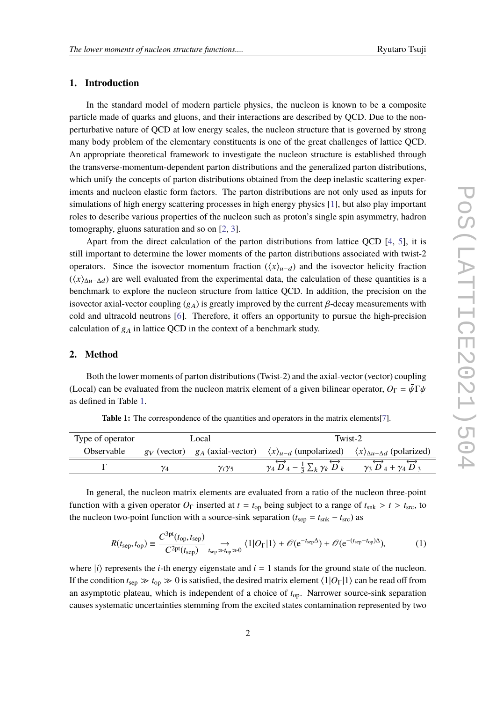## **1. Introduction**

In the standard model of modern particle physics, the nucleon is known to be a composite particle made of quarks and gluons, and their interactions are described by QCD. Due to the nonperturbative nature of QCD at low energy scales, the nucleon structure that is governed by strong many body problem of the elementary constituents is one of the great challenges of lattice QCD. An appropriate theoretical framework to investigate the nucleon structure is established through the transverse-momentum-dependent parton distributions and the generalized parton distributions, which unify the concepts of parton distributions obtained from the deep inelastic scattering experiments and nucleon elastic form factors. The parton distributions are not only used as inputs for simulations of high energy scattering processes in high energy physics [1], but also play important roles to describe various properties of the nucleon such as proton's single spin asymmetry, hadron tomography, gluons saturation and so on [2, 3].

Apart from the direct calculation of the parton distributions from lattice QCD [4, 5], it is still important to determine the lower moments of the parton distributions associated with twist-2 operators. Since the isovector momentum fraction  $(\langle x \rangle_{u-d})$  and the isovector helicity fraction  $(\langle x \rangle_{\Delta u-\Delta d})$  are well evaluated from the experimental data, the calculation of these quantities is a benchmark to explore the nucleon structure from lattice QCD. In addition, the precision on the isovector axial-vector coupling  $(g_A)$  is greatly improved by the current  $\beta$ -decay measurements with cold and ultracold neutrons [6]. Therefore, it offers an opportunity to pursue the high-precision calculation of  $g_A$  in lattice QCD in the context of a benchmark study.

### **2. Method**

Both the lower moments of parton distributions (Twist-2) and the axial-vector (vector) coupling (Local) can be evaluated from the nucleon matrix element of a given bilinear operator,  $O_{\Gamma} = \bar{\psi} \Gamma \psi$ as defined in Table 1.

| Type of operator |    | Local              | Twist-2                                                                                                                                            |  |  |  |
|------------------|----|--------------------|----------------------------------------------------------------------------------------------------------------------------------------------------|--|--|--|
| Observable       |    |                    | $g_V$ (vector) $g_A$ (axial-vector) $\langle x \rangle_{u-d}$ (unpolarized) $\langle x \rangle_{\Delta u - \Delta d}$ (polarized)                  |  |  |  |
|                  | Y4 | $\gamma_i\gamma_5$ | $\gamma_4 \overrightarrow{D}_4 - \frac{1}{3} \sum_k \gamma_k \overrightarrow{D}_k$ $\gamma_3 \overrightarrow{D}_4 + \gamma_4 \overrightarrow{D}_3$ |  |  |  |

**Table 1:** The correspondence of the quantities and operators in the matrix elements[7].

In general, the nucleon matrix elements are evaluated from a ratio of the nucleon three-point function with a given operator  $O_\Gamma$  inserted at  $t = t_{op}$  being subject to a range of  $t_{snk} > t > t_{src}$ , to the nucleon two-point function with a source-sink separation ( $t_{\text{sep}} = t_{\text{snk}} - t_{\text{src}}$ ) as

$$
R(t_{\text{sep}}, t_{\text{op}}) \equiv \frac{C^{\text{3pt}}(t_{\text{op}}, t_{\text{sep}})}{C^{\text{2pt}}(t_{\text{sep}})} \underset{t_{\text{sep}} \gg t_{\text{op}} \gg 0}{\longrightarrow} \langle 1 | O_{\Gamma} | 1 \rangle + \mathcal{O}(e^{-t_{\text{sep}}\Delta}) + \mathcal{O}(e^{-(t_{\text{sep}} - t_{\text{op}})\Delta}), \tag{1}
$$

where  $|i\rangle$  represents the *i*-th energy eigenstate and  $i = 1$  stands for the ground state of the nucleon. If the condition  $t_{\text{sep}} \gg t_{\text{op}} \gg 0$  is satisfied, the desired matrix element  $\langle 1|O_{\Gamma}|1 \rangle$  can be read off from an asymptotic plateau, which is independent of a choice of *t*op. Narrower source-sink separation causes systematic uncertainties stemming from the excited states contamination represented by two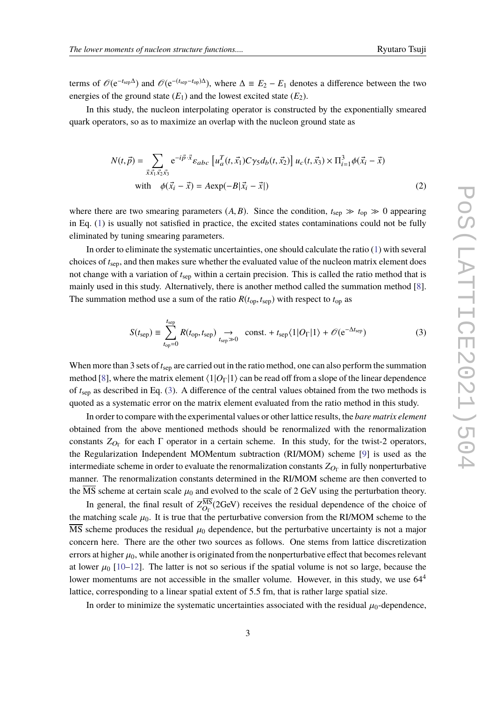terms of  $\mathcal{O}(e^{-t_{\text{sep}}\Delta})$  and  $\mathcal{O}(e^{-(t_{\text{sep}}-t_{\text{op}})\Delta})$ , where  $\Delta \equiv E_2 - E_1$  denotes a difference between the two energies of the ground state  $(E_1)$  and the lowest excited state  $(E_2)$ .

In this study, the nucleon interpolating operator is constructed by the exponentially smeared quark operators, so as to maximize an overlap with the nucleon ground state as

$$
N(t, \vec{p}) = \sum_{\vec{x} \times \vec{x_1} \times \vec{z_2} \times \vec{s_3}} e^{-i\vec{p} \cdot \vec{x}} \varepsilon_{abc} \left[ u_a^T(t, \vec{x_1}) C \gamma_5 d_b(t, \vec{x_2}) \right] u_c(t, \vec{x_3}) \times \Pi_{i=1}^3 \phi(\vec{x_i} - \vec{x})
$$
  
with  $\phi(\vec{x_i} - \vec{x}) = A \exp(-B|\vec{x_i} - \vec{x}|)$  (2)

where there are two smearing parameters  $(A, B)$ . Since the condition,  $t_{\text{sep}} \gg t_{\text{op}} \gg 0$  appearing in Eq. (1) is usually not satisfied in practice, the excited states contaminations could not be fully eliminated by tuning smearing parameters.

In order to eliminate the systematic uncertainties, one should calculate the ratio (1) with several choices of *t*sep, and then makes sure whether the evaluated value of the nucleon matrix element does not change with a variation of *t*sep within a certain precision. This is called the ratio method that is mainly used in this study. Alternatively, there is another method called the summation method [8]. The summation method use a sum of the ratio  $R(t_{\text{op}}, t_{\text{sep}})$  with respect to  $t_{\text{op}}$  as

$$
S(t_{\text{sep}}) \equiv \sum_{t_{\text{op}}=0}^{t_{\text{sep}}} R(t_{\text{op}}, t_{\text{sep}}) \underset{t_{\text{sep}} \gg 0}{\longrightarrow} \text{const.} + t_{\text{sep}} \langle 1 | O_{\Gamma} | 1 \rangle + \mathcal{O}(e^{-\Delta t_{\text{sep}}})
$$
(3)

When more than 3 sets of  $t_{\text{sep}}$  are carried out in the ratio method, one can also perform the summation method [8], where the matrix element  $\langle 1|O_{\Gamma}|1\rangle$  can be read off from a slope of the linear dependence of *t*sep as described in Eq. (3). A difference of the central values obtained from the two methods is quoted as a systematic error on the matrix element evaluated from the ratio method in this study.

In order to compare with the experimental values or other lattice results, the *bare matrix element* obtained from the above mentioned methods should be renormalized with the renormalization constants  $Z_{O_{\Gamma}}$  for each  $\Gamma$  operator in a certain scheme. In this study, for the twist-2 operators, the Regularization Independent MOMentum subtraction (RI/MOM) scheme [9] is used as the intermediate scheme in order to evaluate the renormalization constants  $Z_{O_\Gamma}$  in fully nonperturbative manner. The renormalization constants determined in the RI/MOM scheme are then converted to the  $\overline{\text{MS}}$  scheme at certain scale  $\mu_0$  and evolved to the scale of 2 GeV using the perturbation theory.

In general, the final result of  $Z_{O_\Gamma}^{\text{MS}}(2\text{GeV})$  receives the residual dependence of the choice of the matching scale  $\mu_0$ . It is true that the perturbative conversion from the RI/MOM scheme to the MS scheme produces the residual  $\mu_0$  dependence, but the perturbative uncertainty is not a major concern here. There are the other two sources as follows. One stems from lattice discretization errors at higher  $\mu_0$ , while another is originated from the nonperturbative effect that becomes relevant at lower  $\mu_0$  [10–12]. The latter is not so serious if the spatial volume is not so large, because the lower momentums are not accessible in the smaller volume. However, in this study, we use  $64<sup>4</sup>$ lattice, corresponding to a linear spatial extent of 5.5 fm, that is rather large spatial size.

In order to minimize the systematic uncertainties associated with the residual  $\mu_0$ -dependence,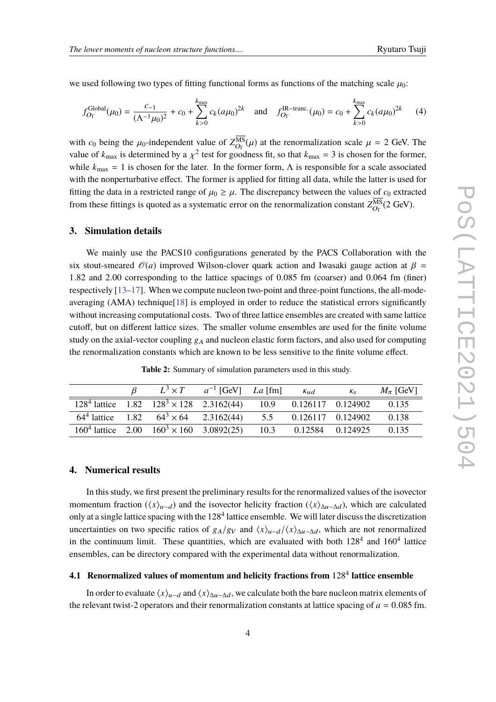we used following two types of fitting functional forms as functions of the matching scale  $\mu_0$ :

$$
f_{O_{\Gamma}}^{\text{Global}}(\mu_0) = \frac{c_{-1}}{(\Lambda^{-1}\mu_0)^2} + c_0 + \sum_{k>0}^{k_{\text{max}}} c_k (a\mu_0)^{2k} \quad \text{and} \quad f_{O_{\Gamma}}^{\text{IR-trunc.}}(\mu_0) = c_0 + \sum_{k>0}^{k_{\text{max}}} c_k (a\mu_0)^{2k} \tag{4}
$$

with  $c_0$  being the  $\mu_0$ -independent value of  $Z_{O_{\Gamma}}^{MS}(\mu)$  at the renormalization scale  $\mu = 2$  GeV. The value of  $k_{\text{max}}$  is determined by a  $\chi^2$  test for goodness fit, so that  $k_{\text{max}} = 3$  is chosen for the former, while  $k_{\text{max}} = 1$  is chosen for the later. In the former form,  $\Lambda$  is responsible for a scale associated with the nonperturbative effect. The former is applied for fitting all data, while the latter is used for fitting the data in a restricted range of  $\mu_0 \ge \mu$ . The discrepancy between the values of  $c_0$  extracted from these fittings is quoted as a systematic error on the renormalization constant  $Z_{O_{\Gamma}}^{\text{MS}}(2\text{ GeV})$ .

#### **3. Simulation details**

We mainly use the PACS10 configurations generated by the PACS Collaboration with the six stout-smeared  $\mathcal{O}(a)$  improved Wilson-clover quark action and Iwasaki gauge action at  $\beta$  = 1.82 and 2.00 corresponding to the lattice spacings of 0.085 fm (coarser) and 0.064 fm (finer) respectively [13–17]. When we compute nucleon two-point and three-point functions, the all-modeaveraging (AMA) technique[18] is employed in order to reduce the statistical errors significantly without increasing computational costs. Two of three lattice ensembles are created with same lattice cutoff, but on different lattice sizes. The smaller volume ensembles are used for the finite volume study on the axial-vector coupling  $g_A$  and nucleon elastic form factors, and also used for computing the renormalization constants which are known to be less sensitive to the finite volume effect.

**Table 2:** Summary of simulation parameters used in this study.

|  |                                                                                                        | $L^3 \times T$ $a^{-1}$ [GeV] $La$ [fm] | $K_{\mathcal{U}}$ | $K_{S}$ | $M_{\pi}$ [GeV] |
|--|--------------------------------------------------------------------------------------------------------|-----------------------------------------|-------------------|---------|-----------------|
|  | $1284$ lattice $1.82 \t1283 \times 128 \t2.3162(44) \t10.9 \t0.126117 \t0.124902$                      |                                         |                   |         | 0.135           |
|  | $64^4$ lattice 1.82 $64^3 \times 64$ 2.3162(44) 5.5 0.126117 0.124902                                  |                                         |                   |         | 0.138           |
|  | $160^4$ lattice $2.00 \quad 160^3 \times 160 \quad 3.0892(25) \quad 10.3 \quad 0.12584 \quad 0.124925$ |                                         |                   |         | 0.135           |

## **4. Numerical results**

In this study, we first present the preliminary results for the renormalized values of the isovector momentum fraction ( $\langle x \rangle_{u-d}$ ) and the isovector helicity fraction ( $\langle x \rangle_{\Delta u-\Delta d}$ ), which are calculated only at a single lattice spacing with the  $128^4$  lattice ensemble. We will later discuss the discretization uncertainties on two specific ratios of  $g_A/g_V$  and  $\langle x \rangle_{u-d}/\langle x \rangle_{\Delta u-\Delta d}$ , which are not renormalized in the continuum limit. These quantities, which are evaluated with both  $128<sup>4</sup>$  and  $160<sup>4</sup>$  lattice ensembles, can be directory compared with the experimental data without renormalization.

## **4.1 Renormalized values of momentum and helicity fractions from** 128<sup>4</sup> **lattice ensemble**

In order to evaluate  $\langle x \rangle_{u-d}$  and  $\langle x \rangle_{\Delta u-\Delta d}$ , we calculate both the bare nucleon matrix elements of the relevant twist-2 operators and their renormalization constants at lattice spacing of  $a = 0.085$  fm.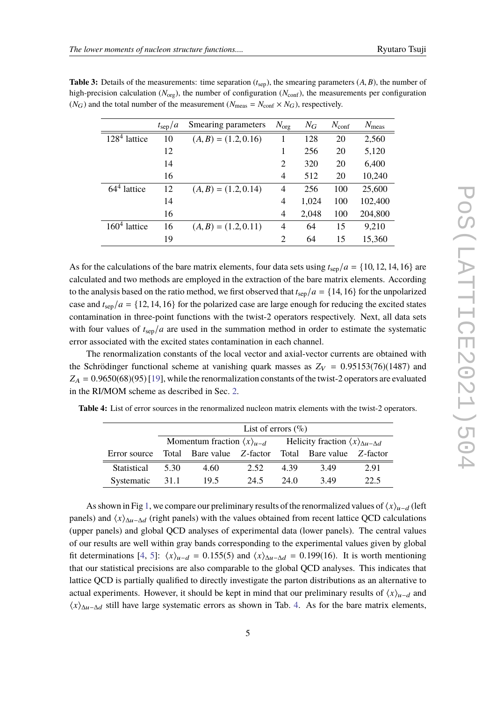|                    | $t_{\rm sep}/a$ | Smearing parameters    | $N_{\text{org}}$ | $N_G$ | $N_{\text{conf}}$ | $N_{\text{meas}}$ |
|--------------------|-----------------|------------------------|------------------|-------|-------------------|-------------------|
| $128^4$<br>lattice | 10              | $(A, B) = (1.2, 0.16)$ |                  | 128   | 20                | 2,560             |
|                    | 12              |                        |                  | 256   | 20                | 5,120             |
|                    | 14              |                        | $\overline{2}$   | 320   | 20                | 6,400             |
|                    | 16              |                        | 4                | 512   | 20                | 10,240            |
| $644$ lattice      | 12              | $(A, B) = (1.2, 0.14)$ | 4                | 256   | 100               | 25,600            |
|                    | 14              |                        | 4                | 1,024 | 100               | 102,400           |
|                    | 16              |                        | 4                | 2,048 | 100               | 204,800           |
| $1604$ lattice     | 16              | $(A, B) = (1.2, 0.11)$ | 4                | 64    | 15                | 9,210             |
|                    | 19              |                        | $\overline{2}$   | 64    | 15                | 15,360            |

**Table 3:** Details of the measurements: time separation (*t*sep), the smearing parameters (*A*, *B*), the number of high-precision calculation ( $N_{\text{org}}$ ), the number of configuration ( $N_{\text{conf}}$ ), the measurements per configuration  $(N_G)$  and the total number of the measurement  $(N_{\text{meas}} = N_{\text{conf}} \times N_G)$ , respectively.

As for the calculations of the bare matrix elements, four data sets using  $t_{\rm sep}/a = \{10, 12, 14, 16\}$  are calculated and two methods are employed in the extraction of the bare matrix elements. According to the analysis based on the ratio method, we first observed that  $t_{\rm sep}/a = \{14, 16\}$  for the unpolarized case and  $t_{\rm sep}/a = \{12, 14, 16\}$  for the polarized case are large enough for reducing the excited states contamination in three-point functions with the twist-2 operators respectively. Next, all data sets with four values of  $t_{\rm sep}/a$  are used in the summation method in order to estimate the systematic error associated with the excited states contamination in each channel.

The renormalization constants of the local vector and axial-vector currents are obtained with the Schrödinger functional scheme at vanishing quark masses as  $Z_V = 0.95153(76)(1487)$  and  $Z_A = 0.9650(68)(95)$  [19], while the renormalization constants of the twist-2 operators are evaluated in the RI/MOM scheme as described in Sec. 2.

|                    | List of errors $(\%)$                       |                           |      |                                                             |                           |      |  |
|--------------------|---------------------------------------------|---------------------------|------|-------------------------------------------------------------|---------------------------|------|--|
|                    | Momentum fraction $\langle x \rangle_{u-d}$ |                           |      | Helicity fraction $\langle x \rangle_{\Delta u - \Delta d}$ |                           |      |  |
| Error source       |                                             | Total Bare value Z-factor |      |                                                             | Total Bare value Z-factor |      |  |
| <b>Statistical</b> | 5.30                                        | 4.60                      | 2.52 | 4.39                                                        | 3.49                      | 2.91 |  |
| Systematic         | 31.1                                        | 19.5                      | 24.5 | 24.0                                                        | 3.49                      | 22.5 |  |

**Table 4:** List of error sources in the renormalized nucleon matrix elements with the twist-2 operators.

As shown in Fig 1, we compare our preliminary results of the renormalized values of  $\langle x \rangle_{u-d}$  (left panels) and  $\langle x \rangle_{\Delta u-\Delta d}$  (right panels) with the values obtained from recent lattice QCD calculations (upper panels) and global QCD analyses of experimental data (lower panels). The central values of our results are well within gray bands corresponding to the experimental values given by global fit determinations [4, 5]:  $\langle x \rangle_{u-d} = 0.155(5)$  and  $\langle x \rangle_{\Delta u-\Delta d} = 0.199(16)$ . It is worth mentioning that our statistical precisions are also comparable to the global QCD analyses. This indicates that lattice QCD is partially qualified to directly investigate the parton distributions as an alternative to actual experiments. However, it should be kept in mind that our preliminary results of  $\langle x \rangle_{u-d}$  and  $\langle x \rangle_{\Delta u-\Delta d}$  still have large systematic errors as shown in Tab. 4. As for the bare matrix elements,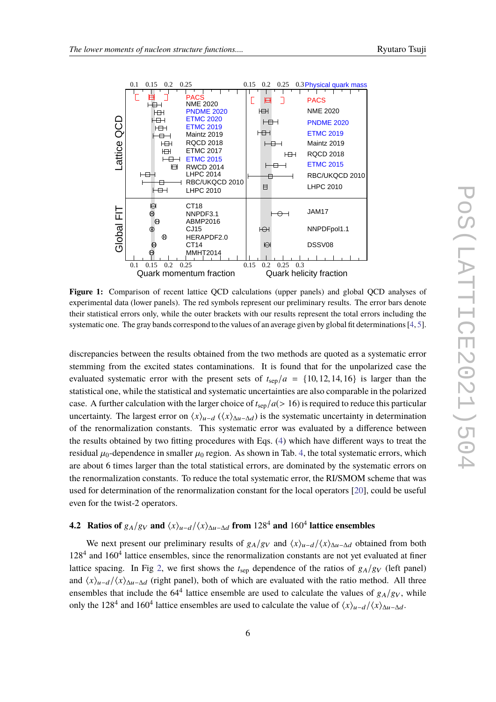



**Figure 1:** Comparison of recent lattice QCD calculations (upper panels) and global QCD analyses of experimental data (lower panels). The red symbols represent our preliminary results. The error bars denote their statistical errors only, while the outer brackets with our results represent the total errors including the systematic one. The gray bands correspond to the values of an average given by global fit determinations [4, 5].

discrepancies between the results obtained from the two methods are quoted as a systematic error stemming from the excited states contaminations. It is found that for the unpolarized case the evaluated systematic error with the present sets of  $t_{\rm sep}/a = \{10, 12, 14, 16\}$  is larger than the statistical one, while the statistical and systematic uncertainties are also comparable in the polarized case. A further calculation with the larger choice of  $t_{\rm sep}/a(> 16)$  is required to reduce this particular uncertainty. The largest error on  $\langle x \rangle_{u-d}$  ( $\langle x \rangle_{\Delta u-\Delta d}$ ) is the systematic uncertainty in determination of the renormalization constants. This systematic error was evaluated by a difference between the results obtained by two fitting procedures with Eqs. (4) which have different ways to treat the residual  $\mu_0$ -dependence in smaller  $\mu_0$  region. As shown in Tab. 4, the total systematic errors, which are about 6 times larger than the total statistical errors, are dominated by the systematic errors on the renormalization constants. To reduce the total systematic error, the RI/SMOM scheme that was used for determination of the renormalization constant for the local operators [20], could be useful even for the twist-2 operators.

## **4.2** Ratios of  $g_A/g_V$  and  $\langle x \rangle_{u-d}/\langle x \rangle_{\Delta u-\Delta d}$  from 128<sup>4</sup> and 160<sup>4</sup> lattice ensembles

We next present our preliminary results of  $g_A/g_V$  and  $\langle x \rangle_{u-d}/\langle x \rangle_{\Delta u-\Delta d}$  obtained from both 128<sup>4</sup> and 160<sup>4</sup> lattice ensembles, since the renormalization constants are not yet evaluated at finer lattice spacing. In Fig 2, we first shows the  $t_{sep}$  dependence of the ratios of  $g_A/g_V$  (left panel) and  $\langle x\rangle_{u-d}/\langle x\rangle_{\Delta u-\Delta d}$  (right panel), both of which are evaluated with the ratio method. All three ensembles that include the  $64<sup>4</sup>$  lattice ensemble are used to calculate the values of  $g_A/g_V$ , while only the 128<sup>4</sup> and 160<sup>4</sup> lattice ensembles are used to calculate the value of  $\langle x \rangle_{u-d}/\langle x \rangle_{\Delta u-\Delta d}$ .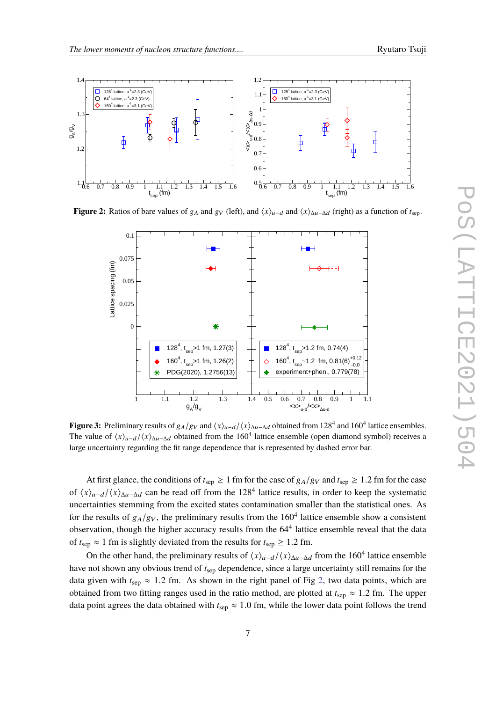

**Figure 2:** Ratios of bare values of  $g_A$  and  $g_V$  (left), and  $\langle x \rangle_{u-d}$  and  $\langle x \rangle_{\Delta u-\Delta d}$  (right) as a function of  $t_{\text{sep}}$ .



**Figure 3:** Preliminary results of  $g_A/g_V$  and  $\langle x \rangle_{u-d}/\langle x \rangle_{\Delta u-\Delta d}$  obtained from 128<sup>4</sup> and 160<sup>4</sup> lattice ensembles. The value of  $\langle x \rangle_{u-d}/\langle x \rangle_{\Delta u-\Delta d}$  obtained from the 160<sup>4</sup> lattice ensemble (open diamond symbol) receives a large uncertainty regarding the fit range dependence that is represented by dashed error bar.

At first glance, the conditions of  $t_{\text{sep}} \ge 1$  fm for the case of  $g_A/g_V$  and  $t_{\text{sep}} \ge 1.2$  fm for the case of  $\langle x \rangle_{u-d}/\langle x \rangle_{\Delta u-\Delta d}$  can be read off from the 128<sup>4</sup> lattice results, in order to keep the systematic uncertainties stemming from the excited states contamination smaller than the statistical ones. As for the results of  $g_A/g_V$ , the preliminary results from the  $160^4$  lattice ensemble show a consistent observation, though the higher accuracy results from the  $64<sup>4</sup>$  lattice ensemble reveal that the data of  $t_{\text{sep}} \approx 1$  fm is slightly deviated from the results for  $t_{\text{sep}} \ge 1.2$  fm.

On the other hand, the preliminary results of  $\langle x \rangle_{u-d}/\langle x \rangle_{\Delta u-\Delta d}$  from the 160<sup>4</sup> lattice ensemble have not shown any obvious trend of *t*sep dependence, since a large uncertainty still remains for the data given with  $t_{\text{sep}} \approx 1.2$  fm. As shown in the right panel of Fig 2, two data points, which are obtained from two fitting ranges used in the ratio method, are plotted at  $t_{\rm sep} \approx 1.2$  fm. The upper data point agrees the data obtained with  $t_{\text{sep}} \approx 1.0$  fm, while the lower data point follows the trend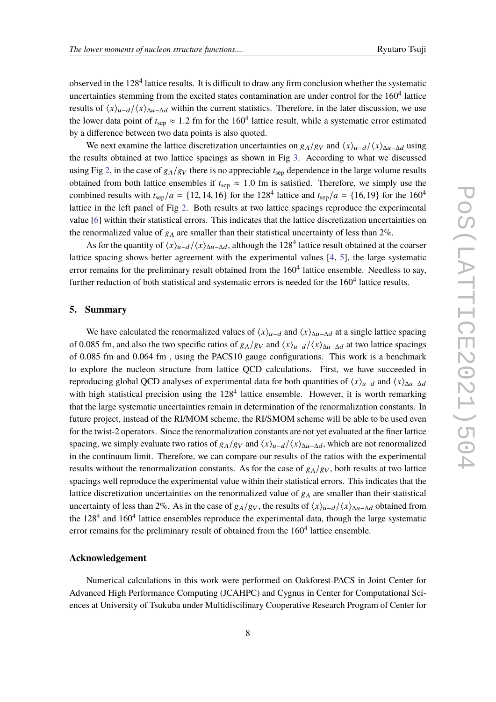observed in the 128<sup>4</sup> lattice results. It is difficult to draw any firm conclusion whether the systematic uncertainties stemming from the excited states contamination are under control for the  $160^4$  lattice results of  $\langle x\rangle_{u-d}/\langle x\rangle_{\Delta u-\Delta d}$  within the current statistics. Therefore, in the later discussion, we use the lower data point of  $t_{\rm sep} \approx 1.2$  fm for the 160<sup>4</sup> lattice result, while a systematic error estimated by a difference between two data points is also quoted.

We next examine the lattice discretization uncertainties on  $g_A/g_V$  and  $\langle x \rangle_{u-d}/\langle x \rangle_{\Delta u-\Delta d}$  using the results obtained at two lattice spacings as shown in Fig 3. According to what we discussed using Fig 2, in the case of  $g_A/g_V$  there is no appreciable  $t_{\rm sep}$  dependence in the large volume results obtained from both lattice ensembles if  $t<sub>sep</sub> \approx 1.0$  fm is satisfied. Therefore, we simply use the combined results with  $t_{\rm sep}/a = \{12, 14, 16\}$  for the 128<sup>4</sup> lattice and  $t_{\rm sep}/a = \{16, 19\}$  for the 160<sup>4</sup> lattice in the left panel of Fig 2. Both results at two lattice spacings reproduce the experimental value [6] within their statistical errors. This indicates that the lattice discretization uncertainties on the renormalized value of  $g_A$  are smaller than their statistical uncertainty of less than  $2\%$ .

As for the quantity of  $\langle x \rangle_{u-d}/\langle x \rangle_{\Delta u-\Delta d}$ , although the 128<sup>4</sup> lattice result obtained at the coarser lattice spacing shows better agreement with the experimental values [4, 5], the large systematic error remains for the preliminary result obtained from the  $160<sup>4</sup>$  lattice ensemble. Needless to say, further reduction of both statistical and systematic errors is needed for the  $160<sup>4</sup>$  lattice results.

#### **5. Summary**

We have calculated the renormalized values of  $\langle x \rangle_{u-d}$  and  $\langle x \rangle_{\Delta u-\Delta d}$  at a single lattice spacing of 0.085 fm, and also the two specific ratios of  $g_A/g_V$  and  $\langle x \rangle_{u-d}/\langle x \rangle_{\Delta u-\Delta d}$  at two lattice spacings of 0.085 fm and 0.064 fm , using the PACS10 gauge configurations. This work is a benchmark to explore the nucleon structure from lattice QCD calculations. First, we have succeeded in reproducing global QCD analyses of experimental data for both quantities of  $\langle x \rangle_{u-d}$  and  $\langle x \rangle_{\Delta u-\Delta d}$ with high statistical precision using the  $128<sup>4</sup>$  lattice ensemble. However, it is worth remarking that the large systematic uncertainties remain in determination of the renormalization constants. In future project, instead of the RI/MOM scheme, the RI/SMOM scheme will be able to be used even for the twist-2 operators. Since the renormalization constants are not yet evaluated at the finer lattice spacing, we simply evaluate two ratios of  $g_A/g_V$  and  $\langle x \rangle_{u-d}/\langle x \rangle_{\Delta u-\Delta d}$ , which are not renormalized in the continuum limit. Therefore, we can compare our results of the ratios with the experimental results without the renormalization constants. As for the case of  $g_A/g_V$ , both results at two lattice spacings well reproduce the experimental value within their statistical errors. This indicates that the lattice discretization uncertainties on the renormalized value of  $g_A$  are smaller than their statistical uncertainty of less than 2%. As in the case of  $g_A/g_V$ , the results of  $\langle x\rangle_{u-d}/\langle x\rangle_{\Delta u-\Delta d}$  obtained from the  $128<sup>4</sup>$  and  $160<sup>4</sup>$  lattice ensembles reproduce the experimental data, though the large systematic error remains for the preliminary result of obtained from the  $160<sup>4</sup>$  lattice ensemble.

#### **Acknowledgement**

Numerical calculations in this work were performed on Oakforest-PACS in Joint Center for Advanced High Performance Computing (JCAHPC) and Cygnus in Center for Computational Sciences at University of Tsukuba under Multidiscilinary Cooperative Research Program of Center for